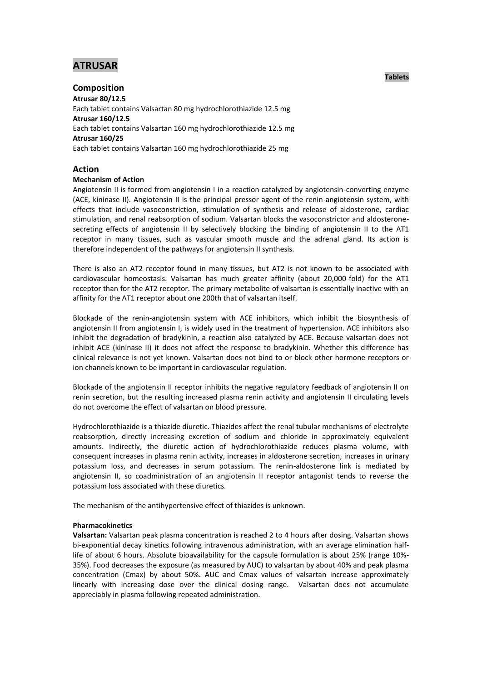# **ATRUSAR**

# **Composition Atrusar 80/12.5** Each tablet contains Valsartan 80 mg hydrochlorothiazide 12.5 mg **Atrusar 160/12.5** Each tablet contains Valsartan 160 mg hydrochlorothiazide 12.5 mg **Atrusar 160/25** Each tablet contains Valsartan 160 mg hydrochlorothiazide 25 mg

# **Action**

# **Mechanism of Action**

Angiotensin II is formed from angiotensin I in a reaction catalyzed by angiotensin-converting enzyme (ACE, kininase II). Angiotensin II is the principal pressor agent of the renin-angiotensin system, with effects that include vasoconstriction, stimulation of synthesis and release of aldosterone, cardiac stimulation, and renal reabsorption of sodium. Valsartan blocks the vasoconstrictor and aldosteronesecreting effects of angiotensin II by selectively blocking the binding of angiotensin II to the AT1 receptor in many tissues, such as vascular smooth muscle and the adrenal gland. Its action is therefore independent of the pathways for angiotensin II synthesis.

There is also an AT2 receptor found in many tissues, but AT2 is not known to be associated with cardiovascular homeostasis. Valsartan has much greater affinity (about 20,000-fold) for the AT1 receptor than for the AT2 receptor. The primary metabolite of valsartan is essentially inactive with an affinity for the AT1 receptor about one 200th that of valsartan itself.

Blockade of the renin-angiotensin system with ACE inhibitors, which inhibit the biosynthesis of angiotensin II from angiotensin I, is widely used in the treatment of hypertension. ACE inhibitors also inhibit the degradation of bradykinin, a reaction also catalyzed by ACE. Because valsartan does not inhibit ACE (kininase II) it does not affect the response to bradykinin. Whether this difference has clinical relevance is not yet known. Valsartan does not bind to or block other hormone receptors or ion channels known to be important in cardiovascular regulation.

Blockade of the angiotensin II receptor inhibits the negative regulatory feedback of angiotensin II on renin secretion, but the resulting increased plasma renin activity and angiotensin II circulating levels do not overcome the effect of valsartan on blood pressure.

Hydrochlorothiazide is a thiazide diuretic. Thiazides affect the renal tubular mechanisms of electrolyte reabsorption, directly increasing excretion of sodium and chloride in approximately equivalent amounts. Indirectly, the diuretic action of hydrochlorothiazide reduces plasma volume, with consequent increases in plasma renin activity, increases in aldosterone secretion, increases in urinary potassium loss, and decreases in serum potassium. The renin-aldosterone link is mediated by angiotensin II, so coadministration of an angiotensin II receptor antagonist tends to reverse the potassium loss associated with these diuretics.

The mechanism of the antihypertensive effect of thiazides is unknown.

### **Pharmacokinetics**

**Valsartan:** Valsartan peak plasma concentration is reached 2 to 4 hours after dosing. Valsartan shows bi-exponential decay kinetics following intravenous administration, with an average elimination halflife of about 6 hours. Absolute bioavailability for the capsule formulation is about 25% (range 10%- 35%). Food decreases the exposure (as measured by AUC) to valsartan by about 40% and peak plasma concentration (Cmax) by about 50%. AUC and Cmax values of valsartan increase approximately linearly with increasing dose over the clinical dosing range. Valsartan does not accumulate appreciably in plasma following repeated administration.

# **Tablets**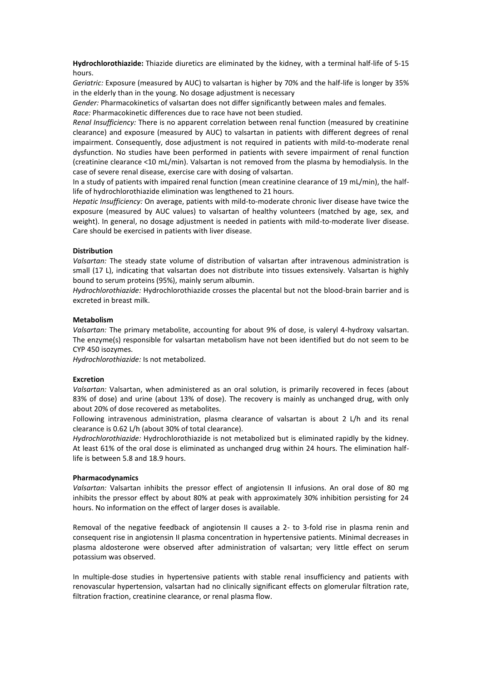**Hydrochlorothiazide:** Thiazide diuretics are eliminated by the kidney, with a terminal half-life of 5-15 hours.

*Geriatric:* Exposure (measured by AUC) to valsartan is higher by 70% and the half-life is longer by 35% in the elderly than in the young. No dosage adjustment is necessary

*Gender:* Pharmacokinetics of valsartan does not differ significantly between males and females.

*Race:* Pharmacokinetic differences due to race have not been studied.

*Renal Insufficiency:* There is no apparent correlation between renal function (measured by creatinine clearance) and exposure (measured by AUC) to valsartan in patients with different degrees of renal impairment. Consequently, dose adjustment is not required in patients with mild-to-moderate renal dysfunction. No studies have been performed in patients with severe impairment of renal function (creatinine clearance <10 mL/min). Valsartan is not removed from the plasma by hemodialysis. In the case of severe renal disease, exercise care with dosing of valsartan.

In a study of patients with impaired renal function (mean creatinine clearance of 19 mL/min), the halflife of hydrochlorothiazide elimination was lengthened to 21 hours.

*Hepatic Insufficiency:* On average, patients with mild-to-moderate chronic liver disease have twice the exposure (measured by AUC values) to valsartan of healthy volunteers (matched by age, sex, and weight). In general, no dosage adjustment is needed in patients with mild-to-moderate liver disease. Care should be exercised in patients with liver disease.

### **Distribution**

*Valsartan:* The steady state volume of distribution of valsartan after intravenous administration is small (17 L), indicating that valsartan does not distribute into tissues extensively. Valsartan is highly bound to serum proteins (95%), mainly serum albumin.

*Hydrochlorothiazide:* Hydrochlorothiazide crosses the placental but not the blood-brain barrier and is excreted in breast milk.

### **Metabolism**

*Valsartan:* The primary metabolite, accounting for about 9% of dose, is valeryl 4-hydroxy valsartan. The enzyme(s) responsible for valsartan metabolism have not been identified but do not seem to be CYP 450 isozymes.

*Hydrochlorothiazide:* Is not metabolized.

### **Excretion**

*Valsartan:* Valsartan, when administered as an oral solution, is primarily recovered in feces (about 83% of dose) and urine (about 13% of dose). The recovery is mainly as unchanged drug, with only about 20% of dose recovered as metabolites.

Following intravenous administration, plasma clearance of valsartan is about 2 L/h and its renal clearance is 0.62 L/h (about 30% of total clearance).

*Hydrochlorothiazide:* Hydrochlorothiazide is not metabolized but is eliminated rapidly by the kidney. At least 61% of the oral dose is eliminated as unchanged drug within 24 hours. The elimination halflife is between 5.8 and 18.9 hours.

### **Pharmacodynamics**

*Valsartan:* Valsartan inhibits the pressor effect of angiotensin II infusions. An oral dose of 80 mg inhibits the pressor effect by about 80% at peak with approximately 30% inhibition persisting for 24 hours. No information on the effect of larger doses is available.

Removal of the negative feedback of angiotensin II causes a 2- to 3-fold rise in plasma renin and consequent rise in angiotensin II plasma concentration in hypertensive patients. Minimal decreases in plasma aldosterone were observed after administration of valsartan; very little effect on serum potassium was observed.

In multiple-dose studies in hypertensive patients with stable renal insufficiency and patients with renovascular hypertension, valsartan had no clinically significant effects on glomerular filtration rate, filtration fraction, creatinine clearance, or renal plasma flow.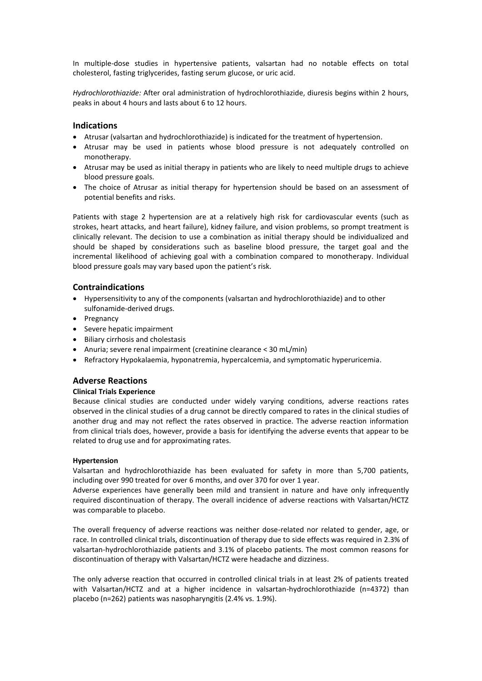In multiple-dose studies in hypertensive patients, valsartan had no notable effects on total cholesterol, fasting triglycerides, fasting serum glucose, or uric acid.

*Hydrochlorothiazide:* After oral administration of hydrochlorothiazide, diuresis begins within 2 hours, peaks in about 4 hours and lasts about 6 to 12 hours.

# **Indications**

- Atrusar (valsartan and hydrochlorothiazide) is indicated for the treatment of hypertension.
- Atrusar may be used in patients whose blood pressure is not adequately controlled on monotherapy.
- Atrusar may be used as initial therapy in patients who are likely to need multiple drugs to achieve blood pressure goals.
- The choice of Atrusar as initial therapy for hypertension should be based on an assessment of potential benefits and risks.

Patients with stage 2 hypertension are at a relatively high risk for cardiovascular events (such as strokes, heart attacks, and heart failure), kidney failure, and vision problems, so prompt treatment is clinically relevant. The decision to use a combination as initial therapy should be individualized and should be shaped by considerations such as baseline blood pressure, the target goal and the incremental likelihood of achieving goal with a combination compared to monotherapy. Individual blood pressure goals may vary based upon the patient's risk.

# **Contraindications**

- Hypersensitivity to any of the components (valsartan and hydrochlorothiazide) and to other sulfonamide-derived drugs.
- Pregnancy
- Severe hepatic impairment
- Biliary cirrhosis and cholestasis
- Anuria; severe renal impairment (creatinine clearance < 30 mL/min)
- Refractory Hypokalaemia, hyponatremia, hypercalcemia, and symptomatic hyperuricemia.

# **Adverse Reactions**

### **Clinical Trials Experience**

Because clinical studies are conducted under widely varying conditions, adverse reactions rates observed in the clinical studies of a drug cannot be directly compared to rates in the clinical studies of another drug and may not reflect the rates observed in practice. The adverse reaction information from clinical trials does, however, provide a basis for identifying the adverse events that appear to be related to drug use and for approximating rates.

### **Hypertension**

Valsartan and hydrochlorothiazide has been evaluated for safety in more than 5,700 patients, including over 990 treated for over 6 months, and over 370 for over 1 year.

Adverse experiences have generally been mild and transient in nature and have only infrequently required discontinuation of therapy. The overall incidence of adverse reactions with Valsartan/HCTZ was comparable to placebo.

The overall frequency of adverse reactions was neither dose-related nor related to gender, age, or race. In controlled clinical trials, discontinuation of therapy due to side effects was required in 2.3% of valsartan-hydrochlorothiazide patients and 3.1% of placebo patients. The most common reasons for discontinuation of therapy with Valsartan/HCTZ were headache and dizziness.

The only adverse reaction that occurred in controlled clinical trials in at least 2% of patients treated with Valsartan/HCTZ and at a higher incidence in valsartan-hydrochlorothiazide (n=4372) than placebo (n=262) patients was nasopharyngitis (2.4% vs. 1.9%).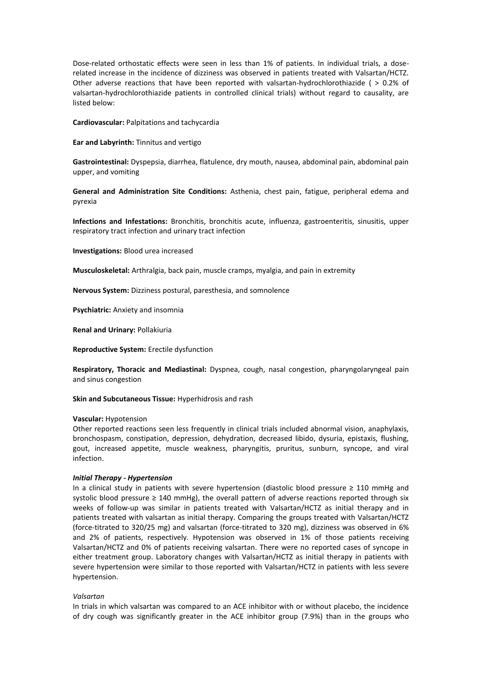Dose-related orthostatic effects were seen in less than 1% of patients. In individual trials, a doserelated increase in the incidence of dizziness was observed in patients treated with Valsartan/HCTZ. Other adverse reactions that have been reported with valsartan-hydrochlorothiazide ( > 0.2% of valsartan-hydrochlorothiazide patients in controlled clinical trials) without regard to causality, are listed below:

**Cardiovascular:** Palpitations and tachycardia

**Ear and Labyrinth:** Tinnitus and vertigo

**Gastrointestinal:** Dyspepsia, diarrhea, flatulence, dry mouth, nausea, abdominal pain, abdominal pain upper, and vomiting

**General and Administration Site Conditions:** Asthenia, chest pain, fatigue, peripheral edema and pyrexia

**Infections and Infestations:** Bronchitis, bronchitis acute, influenza, gastroenteritis, sinusitis, upper respiratory tract infection and urinary tract infection

**Investigations:** Blood urea increased

**Musculoskeletal:** Arthralgia, back pain, muscle cramps, myalgia, and pain in extremity

**Nervous System:** Dizziness postural, paresthesia, and somnolence

**Psychiatric:** Anxiety and insomnia

**Renal and Urinary:** Pollakiuria

**Reproductive System:** Erectile dysfunction

**Respiratory, Thoracic and Mediastinal:** Dyspnea, cough, nasal congestion, pharyngolaryngeal pain and sinus congestion

**Skin and Subcutaneous Tissue:** Hyperhidrosis and rash

#### **Vascular:** Hypotension

Other reported reactions seen less frequently in clinical trials included abnormal vision, anaphylaxis, bronchospasm, constipation, depression, dehydration, decreased libido, dysuria, epistaxis, flushing, gout, increased appetite, muscle weakness, pharyngitis, pruritus, sunburn, syncope, and viral infection.

#### *Initial Therapy - Hypertension*

In a clinical study in patients with severe hypertension (diastolic blood pressure ≥ 110 mmHg and systolic blood pressure ≥ 140 mmHg), the overall pattern of adverse reactions reported through six weeks of follow-up was similar in patients treated with Valsartan/HCTZ as initial therapy and in patients treated with valsartan as initial therapy. Comparing the groups treated with Valsartan/HCTZ (force-titrated to 320/25 mg) and valsartan (force-titrated to 320 mg), dizziness was observed in 6% and 2% of patients, respectively. Hypotension was observed in 1% of those patients receiving Valsartan/HCTZ and 0% of patients receiving valsartan. There were no reported cases of syncope in either treatment group. Laboratory changes with Valsartan/HCTZ as initial therapy in patients with severe hypertension were similar to those reported with Valsartan/HCTZ in patients with less severe hypertension.

# *Valsartan*

In trials in which valsartan was compared to an ACE inhibitor with or without placebo, the incidence of dry cough was significantly greater in the ACE inhibitor group (7.9%) than in the groups who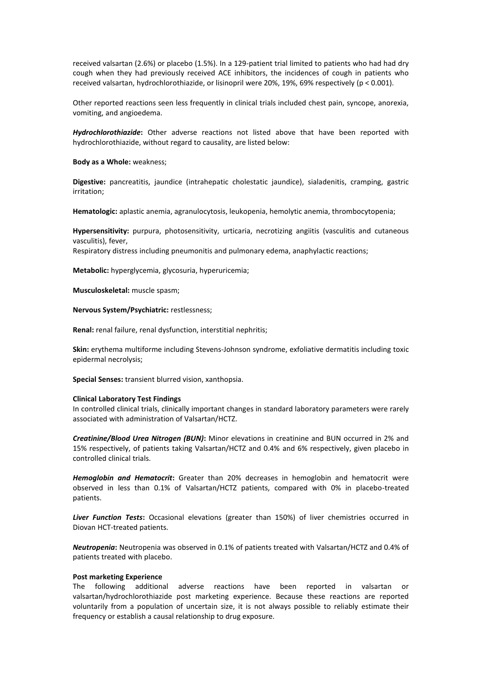received valsartan (2.6%) or placebo (1.5%). In a 129-patient trial limited to patients who had had dry cough when they had previously received ACE inhibitors, the incidences of cough in patients who received valsartan, hydrochlorothiazide, or lisinopril were 20%, 19%, 69% respectively (p < 0.001).

Other reported reactions seen less frequently in clinical trials included chest pain, syncope, anorexia, vomiting, and angioedema.

*Hydrochlorothiazide***:** Other adverse reactions not listed above that have been reported with hydrochlorothiazide, without regard to causality, are listed below:

**Body as a Whole:** weakness;

**Digestive:** pancreatitis, jaundice (intrahepatic cholestatic jaundice), sialadenitis, cramping, gastric irritation;

**Hematologic:** aplastic anemia, agranulocytosis, leukopenia, hemolytic anemia, thrombocytopenia;

**Hypersensitivity:** purpura, photosensitivity, urticaria, necrotizing angiitis (vasculitis and cutaneous vasculitis), fever,

Respiratory distress including pneumonitis and pulmonary edema, anaphylactic reactions;

**Metabolic:** hyperglycemia, glycosuria, hyperuricemia;

**Musculoskeletal:** muscle spasm;

**Nervous System/Psychiatric:** restlessness;

**Renal:** renal failure, renal dysfunction, interstitial nephritis;

**Skin:** erythema multiforme including Stevens-Johnson syndrome, exfoliative dermatitis including toxic epidermal necrolysis;

**Special Senses:** transient blurred vision, xanthopsia.

### **Clinical Laboratory Test Findings**

In controlled clinical trials, clinically important changes in standard laboratory parameters were rarely associated with administration of Valsartan/HCTZ.

*Creatinine/Blood Urea Nitrogen (BUN)***:** Minor elevations in creatinine and BUN occurred in 2% and 15% respectively, of patients taking Valsartan/HCTZ and 0.4% and 6% respectively, given placebo in controlled clinical trials.

*Hemoglobin and Hematocrit***:** Greater than 20% decreases in hemoglobin and hematocrit were observed in less than 0.1% of Valsartan/HCTZ patients, compared with 0% in placebo-treated patients.

*Liver Function Tests***:** Occasional elevations (greater than 150%) of liver chemistries occurred in Diovan HCT-treated patients.

*Neutropenia***:** Neutropenia was observed in 0.1% of patients treated with Valsartan/HCTZ and 0.4% of patients treated with placebo.

#### **Post marketing Experience**

The following additional adverse reactions have been reported in valsartan or valsartan/hydrochlorothiazide post marketing experience. Because these reactions are reported voluntarily from a population of uncertain size, it is not always possible to reliably estimate their frequency or establish a causal relationship to drug exposure.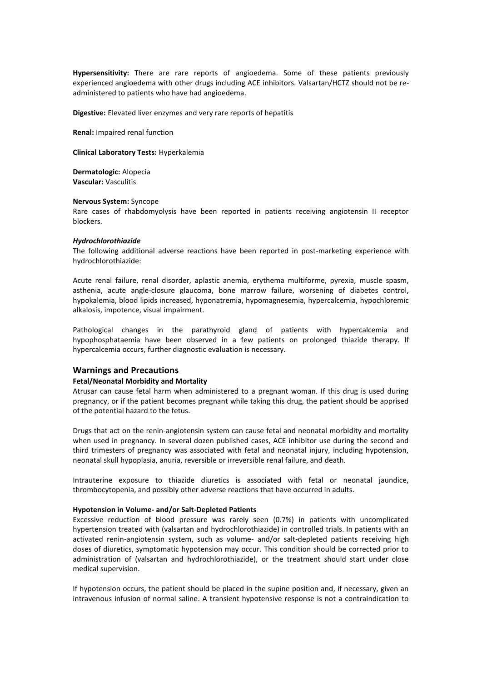**Hypersensitivity:** There are rare reports of angioedema. Some of these patients previously experienced angioedema with other drugs including ACE inhibitors. Valsartan/HCTZ should not be readministered to patients who have had angioedema.

**Digestive:** Elevated liver enzymes and very rare reports of hepatitis

**Renal:** Impaired renal function

**Clinical Laboratory Tests:** Hyperkalemia

**Dermatologic:** Alopecia **Vascular:** Vasculitis

#### **Nervous System:** Syncope

Rare cases of rhabdomyolysis have been reported in patients receiving angiotensin II receptor blockers.

#### *Hydrochlorothiazide*

The following additional adverse reactions have been reported in post-marketing experience with hydrochlorothiazide:

Acute renal failure, renal disorder, aplastic anemia, erythema multiforme, pyrexia, muscle spasm, asthenia, acute angle-closure glaucoma, bone marrow failure, worsening of diabetes control, hypokalemia, blood lipids increased, hyponatremia, hypomagnesemia, hypercalcemia, hypochloremic alkalosis, impotence, visual impairment.

Pathological changes in the parathyroid gland of patients with hypercalcemia and hypophosphataemia have been observed in a few patients on prolonged thiazide therapy. If hypercalcemia occurs, further diagnostic evaluation is necessary.

# **Warnings and Precautions**

### **Fetal/Neonatal Morbidity and Mortality**

Atrusar can cause fetal harm when administered to a pregnant woman. If this drug is used during pregnancy, or if the patient becomes pregnant while taking this drug, the patient should be apprised of the potential hazard to the fetus.

Drugs that act on the renin-angiotensin system can cause fetal and neonatal morbidity and mortality when used in pregnancy. In several dozen published cases, ACE inhibitor use during the second and third trimesters of pregnancy was associated with fetal and neonatal injury, including hypotension, neonatal skull hypoplasia, anuria, reversible or irreversible renal failure, and death.

Intrauterine exposure to thiazide diuretics is associated with fetal or neonatal jaundice, thrombocytopenia, and possibly other adverse reactions that have occurred in adults.

#### **Hypotension in Volume- and/or Salt-Depleted Patients**

Excessive reduction of blood pressure was rarely seen (0.7%) in patients with uncomplicated hypertension treated with (valsartan and hydrochlorothiazide) in controlled trials. In patients with an activated renin-angiotensin system, such as volume- and/or salt-depleted patients receiving high doses of diuretics, symptomatic hypotension may occur. This condition should be corrected prior to administration of (valsartan and hydrochlorothiazide), or the treatment should start under close medical supervision.

If hypotension occurs, the patient should be placed in the supine position and, if necessary, given an intravenous infusion of normal saline. A transient hypotensive response is not a contraindication to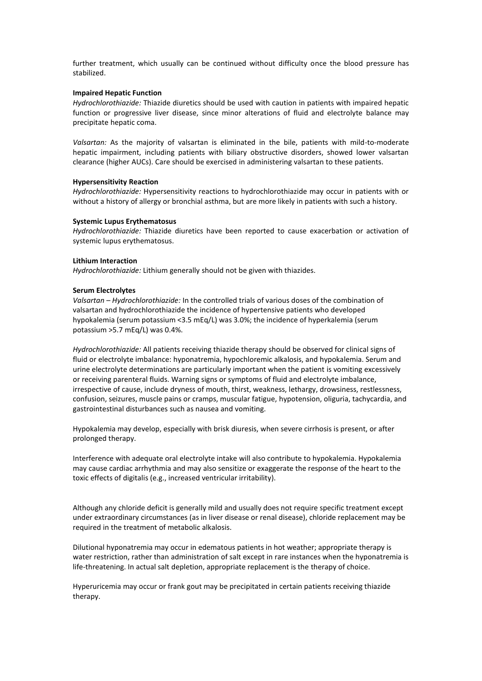further treatment, which usually can be continued without difficulty once the blood pressure has stabilized.

#### **Impaired Hepatic Function**

*Hydrochlorothiazide:* Thiazide diuretics should be used with caution in patients with impaired hepatic function or progressive liver disease, since minor alterations of fluid and electrolyte balance may precipitate hepatic coma.

*Valsartan:* As the majority of valsartan is eliminated in the bile, patients with mild-to-moderate hepatic impairment, including patients with biliary obstructive disorders, showed lower valsartan clearance (higher AUCs). Care should be exercised in administering valsartan to these patients.

#### **Hypersensitivity Reaction**

*Hydrochlorothiazide:* Hypersensitivity reactions to hydrochlorothiazide may occur in patients with or without a history of allergy or bronchial asthma, but are more likely in patients with such a history.

#### **Systemic Lupus Erythematosus**

*Hydrochlorothiazide:* Thiazide diuretics have been reported to cause exacerbation or activation of systemic lupus erythematosus.

### **Lithium Interaction**

*Hydrochlorothiazide:* Lithium generally should not be given with thiazides.

#### **Serum Electrolytes**

*Valsartan – Hydrochlorothiazide:* In the controlled trials of various doses of the combination of valsartan and hydrochlorothiazide the incidence of hypertensive patients who developed hypokalemia (serum potassium <3.5 mEq/L) was 3.0%; the incidence of hyperkalemia (serum potassium >5.7 mEq/L) was 0.4%.

*Hydrochlorothiazide:* All patients receiving thiazide therapy should be observed for clinical signs of fluid or electrolyte imbalance: hyponatremia, hypochloremic alkalosis, and hypokalemia. Serum and urine electrolyte determinations are particularly important when the patient is vomiting excessively or receiving parenteral fluids. Warning signs or symptoms of fluid and electrolyte imbalance, irrespective of cause, include dryness of mouth, thirst, weakness, lethargy, drowsiness, restlessness, confusion, seizures, muscle pains or cramps, muscular fatigue, hypotension, oliguria, tachycardia, and gastrointestinal disturbances such as nausea and vomiting.

Hypokalemia may develop, especially with brisk diuresis, when severe cirrhosis is present, or after prolonged therapy.

Interference with adequate oral electrolyte intake will also contribute to hypokalemia. Hypokalemia may cause cardiac arrhythmia and may also sensitize or exaggerate the response of the heart to the toxic effects of digitalis (e.g., increased ventricular irritability).

Although any chloride deficit is generally mild and usually does not require specific treatment except under extraordinary circumstances (as in liver disease or renal disease), chloride replacement may be required in the treatment of metabolic alkalosis.

Dilutional hyponatremia may occur in edematous patients in hot weather; appropriate therapy is water restriction, rather than administration of salt except in rare instances when the hyponatremia is life-threatening. In actual salt depletion, appropriate replacement is the therapy of choice.

Hyperuricemia may occur or frank gout may be precipitated in certain patients receiving thiazide therapy.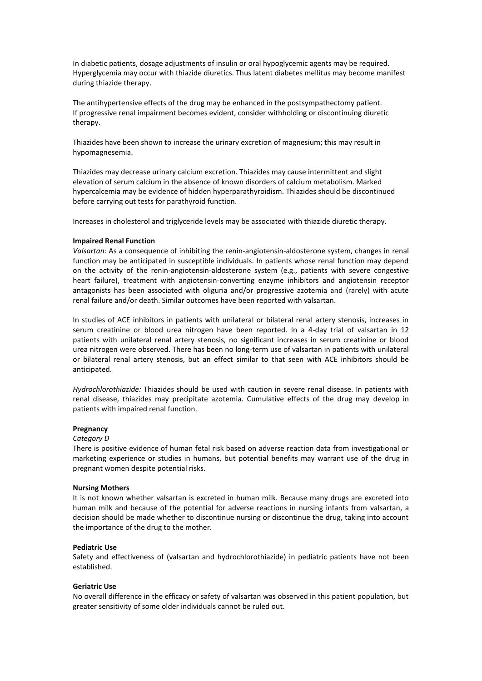In diabetic patients, dosage adjustments of insulin or oral hypoglycemic agents may be required. Hyperglycemia may occur with thiazide diuretics. Thus latent diabetes mellitus may become manifest during thiazide therapy.

The antihypertensive effects of the drug may be enhanced in the postsympathectomy patient. If progressive renal impairment becomes evident, consider withholding or discontinuing diuretic therapy.

Thiazides have been shown to increase the urinary excretion of magnesium; this may result in hypomagnesemia.

Thiazides may decrease urinary calcium excretion. Thiazides may cause intermittent and slight elevation of serum calcium in the absence of known disorders of calcium metabolism. Marked hypercalcemia may be evidence of hidden hyperparathyroidism. Thiazides should be discontinued before carrying out tests for parathyroid function.

Increases in cholesterol and triglyceride levels may be associated with thiazide diuretic therapy.

### **Impaired Renal Function**

*Valsartan:* As a consequence of inhibiting the renin-angiotensin-aldosterone system, changes in renal function may be anticipated in susceptible individuals. In patients whose renal function may depend on the activity of the renin-angiotensin-aldosterone system (e.g., patients with severe congestive heart failure), treatment with angiotensin-converting enzyme inhibitors and angiotensin receptor antagonists has been associated with oliguria and/or progressive azotemia and (rarely) with acute renal failure and/or death. Similar outcomes have been reported with valsartan.

In studies of ACE inhibitors in patients with unilateral or bilateral renal artery stenosis, increases in serum creatinine or blood urea nitrogen have been reported. In a 4-day trial of valsartan in 12 patients with unilateral renal artery stenosis, no significant increases in serum creatinine or blood urea nitrogen were observed. There has been no long-term use of valsartan in patients with unilateral or bilateral renal artery stenosis, but an effect similar to that seen with ACE inhibitors should be anticipated.

*Hydrochlorothiazide:* Thiazides should be used with caution in severe renal disease. In patients with renal disease, thiazides may precipitate azotemia. Cumulative effects of the drug may develop in patients with impaired renal function.

#### **Pregnancy**

#### *Category D*

There is positive evidence of human fetal risk based on adverse reaction data from investigational or marketing experience or studies in humans, but potential benefits may warrant use of the drug in pregnant women despite potential risks.

#### **Nursing Mothers**

It is not known whether valsartan is excreted in human milk. Because many drugs are excreted into human milk and because of the potential for adverse reactions in nursing infants from valsartan, a decision should be made whether to discontinue nursing or discontinue the drug, taking into account the importance of the drug to the mother.

#### **Pediatric Use**

Safety and effectiveness of (valsartan and hydrochlorothiazide) in pediatric patients have not been established.

#### **Geriatric Use**

No overall difference in the efficacy or safety of valsartan was observed in this patient population, but greater sensitivity of some older individuals cannot be ruled out.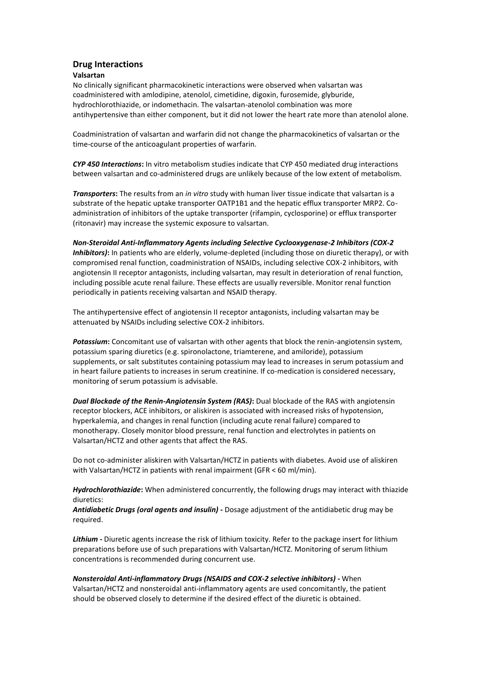# **Drug Interactions**

# **Valsartan**

No clinically significant pharmacokinetic interactions were observed when valsartan was coadministered with amlodipine, atenolol, cimetidine, digoxin, furosemide, glyburide, hydrochlorothiazide, or indomethacin. The valsartan-atenolol combination was more antihypertensive than either component, but it did not lower the heart rate more than atenolol alone.

Coadministration of valsartan and warfarin did not change the pharmacokinetics of valsartan or the time-course of the anticoagulant properties of warfarin.

*CYP 450 Interactions***:** In vitro metabolism studies indicate that CYP 450 mediated drug interactions between valsartan and co-administered drugs are unlikely because of the low extent of metabolism.

*Transporters***:** The results from an *in vitro* study with human liver tissue indicate that valsartan is a substrate of the hepatic uptake transporter OATP1B1 and the hepatic efflux transporter MRP2. Coadministration of inhibitors of the uptake transporter (rifampin, cyclosporine) or efflux transporter (ritonavir) may increase the systemic exposure to valsartan.

*Non-Steroidal Anti-Inflammatory Agents including Selective Cyclooxygenase-2 Inhibitors (COX-2 Inhibitors)***:** In patients who are elderly, volume-depleted (including those on diuretic therapy), or with compromised renal function, coadministration of NSAIDs, including selective COX-2 inhibitors, with angiotensin II receptor antagonists, including valsartan, may result in deterioration of renal function, including possible acute renal failure. These effects are usually reversible. Monitor renal function periodically in patients receiving valsartan and NSAID therapy.

The antihypertensive effect of angiotensin II receptor antagonists, including valsartan may be attenuated by NSAIDs including selective COX-2 inhibitors.

*Potassium***:** Concomitant use of valsartan with other agents that block the renin-angiotensin system, potassium sparing diuretics (e.g. spironolactone, triamterene, and amiloride), potassium supplements, or salt substitutes containing potassium may lead to increases in serum potassium and in heart failure patients to increases in serum creatinine. If co-medication is considered necessary, monitoring of serum potassium is advisable.

*Dual Blockade of the Renin-Angiotensin System (RAS)***:** Dual blockade of the RAS with angiotensin receptor blockers, ACE inhibitors, or aliskiren is associated with increased risks of hypotension, hyperkalemia, and changes in renal function (including acute renal failure) compared to monotherapy. Closely monitor blood pressure, renal function and electrolytes in patients on Valsartan/HCTZ and other agents that affect the RAS.

Do not co-administer aliskiren with Valsartan/HCTZ in patients with diabetes. Avoid use of aliskiren with Valsartan/HCTZ in patients with renal impairment (GFR < 60 ml/min).

*Hydrochlorothiazide***:** When administered concurrently, the following drugs may interact with thiazide diuretics:

*Antidiabetic Drugs (oral agents and insulin)* **-** Dosage adjustment of the antidiabetic drug may be required.

*Lithium* **-** Diuretic agents increase the risk of lithium toxicity. Refer to the package insert for lithium preparations before use of such preparations with Valsartan/HCTZ. Monitoring of serum lithium concentrations is recommended during concurrent use.

*Nonsteroidal Anti-inflammatory Drugs (NSAIDS and COX-2 selective inhibitors)* **-** When Valsartan/HCTZ and nonsteroidal anti-inflammatory agents are used concomitantly, the patient should be observed closely to determine if the desired effect of the diuretic is obtained.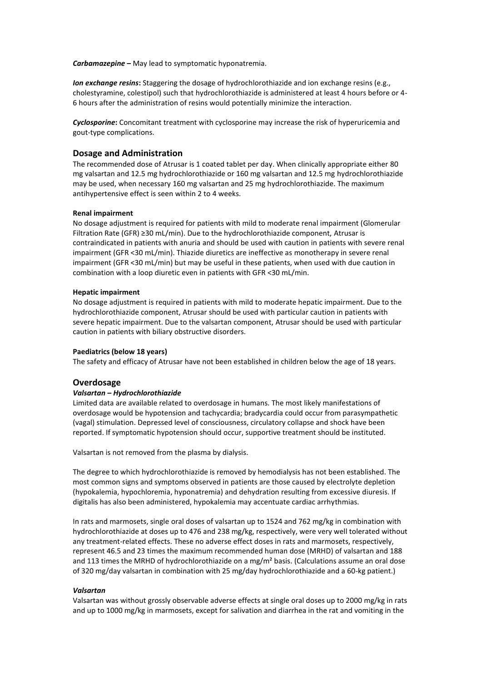*Carbamazepine* **–** May lead to symptomatic hyponatremia.

*Ion exchange resins***:** Staggering the dosage of hydrochlorothiazide and ion exchange resins (e.g., cholestyramine, colestipol) such that hydrochlorothiazide is administered at least 4 hours before or 4- 6 hours after the administration of resins would potentially minimize the interaction.

*Cyclosporine***:** Concomitant treatment with cyclosporine may increase the risk of hyperuricemia and gout-type complications.

# **Dosage and Administration**

The recommended dose of Atrusar is 1 coated tablet per day. When clinically appropriate either 80 mg valsartan and 12.5 mg hydrochlorothiazide or 160 mg valsartan and 12.5 mg hydrochlorothiazide may be used, when necessary 160 mg valsartan and 25 mg hydrochlorothiazide. The maximum antihypertensive effect is seen within 2 to 4 weeks.

# **Renal impairment**

No dosage adjustment is required for patients with mild to moderate renal impairment (Glomerular Filtration Rate (GFR) ≥30 mL/min). Due to the hydrochlorothiazide component, Atrusar is contraindicated in patients with anuria and should be used with caution in patients with severe renal impairment (GFR <30 mL/min). Thiazide diuretics are ineffective as monotherapy in severe renal impairment (GFR <30 mL/min) but may be useful in these patients, when used with due caution in combination with a loop diuretic even in patients with GFR <30 mL/min.

# **Hepatic impairment**

No dosage adjustment is required in patients with mild to moderate hepatic impairment. Due to the hydrochlorothiazide component, Atrusar should be used with particular caution in patients with severe hepatic impairment. Due to the valsartan component, Atrusar should be used with particular caution in patients with biliary obstructive disorders.

### **Paediatrics (below 18 years)**

The safety and efficacy of Atrusar have not been established in children below the age of 18 years.

# **Overdosage**

# *Valsartan – Hydrochlorothiazide*

Limited data are available related to overdosage in humans. The most likely manifestations of overdosage would be hypotension and tachycardia; bradycardia could occur from parasympathetic (vagal) stimulation. Depressed level of consciousness, circulatory collapse and shock have been reported. If symptomatic hypotension should occur, supportive treatment should be instituted.

Valsartan is not removed from the plasma by dialysis.

The degree to which hydrochlorothiazide is removed by hemodialysis has not been established. The most common signs and symptoms observed in patients are those caused by electrolyte depletion (hypokalemia, hypochloremia, hyponatremia) and dehydration resulting from excessive diuresis. If digitalis has also been administered, hypokalemia may accentuate cardiac arrhythmias.

In rats and marmosets, single oral doses of valsartan up to 1524 and 762 mg/kg in combination with hydrochlorothiazide at doses up to 476 and 238 mg/kg, respectively, were very well tolerated without any treatment-related effects. These no adverse effect doses in rats and marmosets, respectively, represent 46.5 and 23 times the maximum recommended human dose (MRHD) of valsartan and 188 and 113 times the MRHD of hydrochlorothiazide on a mg/m<sup>2</sup> basis. (Calculations assume an oral dose of 320 mg/day valsartan in combination with 25 mg/day hydrochlorothiazide and a 60-kg patient.)

### *Valsartan*

Valsartan was without grossly observable adverse effects at single oral doses up to 2000 mg/kg in rats and up to 1000 mg/kg in marmosets, except for salivation and diarrhea in the rat and vomiting in the